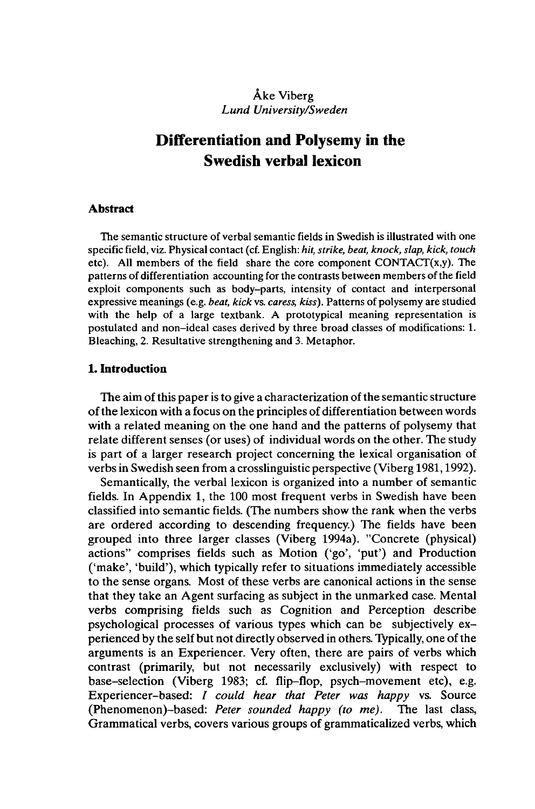## Âke Viberg *Lund University/Sweden*

# **Differentiation and Polysemy in the Swedish verbal lexicon**

#### **Abstract**

The semantic structure of verbal semantic fields in Swedish is illustrated with one specific field, viz. Physical contact (cf. English: *hit, strike, beat, knock, slap, kick, touch* etc). All members of the field share the core component CONTACT(x,y). The patterns of differentiation accounting for the contrasts between members ofthe field exploit components such as body-parts, intensity of contact and interpersonal expressive meanings (e.g. *beat, kick vs. caress, kiss).* Patterns of polysemy are studied with the help of a large textbank. A prototypical meaning representation is postulated and non-ideal cases derived by three broad classes of modifications: 1. Bleaching, 2. Resultative strengthening and 3. Metaphor.

## **1. Introduction**

The aim of this paper is to give a characterization of the semantic structure ofthe lexicon with a focus on the principles of differentiation between words with a related meaning on the one hand and the patterns of polysemy that relate different senses (or uses) of individual words on the other. The study is part of a larger research project concerning the lexical organisation of verbs in Swedish seen from a crosslinguistic perspective (Viberg 1981,1992).

Semantically, the verbal lexicon is organized into a number of semantic fields. In Appendix 1, the 100 most frequent verbs in Swedish have been classified into semantic fields. (The numbers show the rank when the verbs are ordered according to descending frequency.) The fields have been grouped into three larger classes (Viberg 1994a). "Concrete (physical) actions" comprises fields such as Motion ('go', 'put') and Production ('make', 'build'), which typically refer to situations immediately accessible to the sense organs. Most of these verbs are canonical actions in the sense that they take an Agent surfacing as subject in the unmarked case. Mental verbs comprising fields such as Cognition and Perception describe psychological processes of various types which can be subjectively experienced by the self but not directly observed in others. Typically, one ofthe arguments is an Experiencer. Very often, there are pairs of verbs which contrast (primarily, but not necessarily exclusively) with respect to base-selection (Viberg 1983; cf. flip-flop, psych-movement etc), e.g. Experiencer-based: / *could hear that Peter was happy* vs. Source (Phenomenon)-based: *Peter sounded happy (to me).* The last class, Grammatical verbs, covers various groups of grammaticalized verbs, which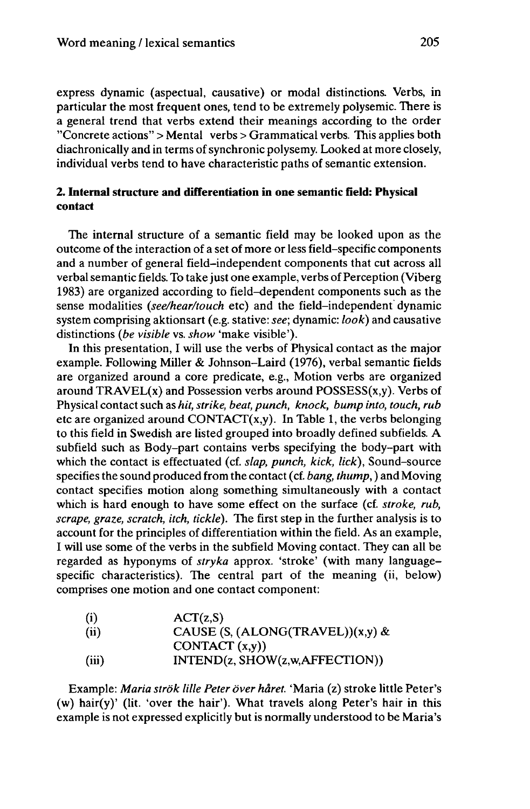express dynamic (aspectual, causative) or modal distinctions. Verbs, in particular the most frequent ones, tend to be extremely polysémie. There is a general trend that verbs extend their meanings according to the order "Concrete actions" > Mental verbs > Grammatical verbs. This applies both diachronically and in terms of synchronic polysemy. Looked at more closely, individual verbs tend to have characteristic paths of semantic extension.

## **2. Internal structure and differentiation in one semantic field: Physical contact**

The internal structure of a semantic field may be looked upon as the outcome of the interaction of a set of more or less field-specific components and a number of general field-independent components that cut across all verbal semantic fields. To take just one example, verbs of Perception (Viberg 1983) are organized according to field-dependent components such as the sense modalities *(see/hear/touch* etc) and the field-independent dynamic system comprising aktionsart (e.g. Stative: *see;* dynamic: *look)* and causative distinctions *{be visible* vs. *show* 'make visible').

In this presentation, I will use the verbs of Physical contact as the major example. Following Miller & Johnson-Laird (1976), verbal semantic fields are organized around a core predicate, e.g., Motion verbs are organized around  $TRAVEL(x)$  and Possession verbs around  $POSSES(x,y)$ . Verbs of Physical contact such as *hit, strike, beat, punch, knock, bump into, touch, rub* etc are organized around CONTACT $(x,y)$ . In Table 1, the verbs belonging to this field in Swedish are listed grouped into broadly defined subfields. A subfield such as Body-part contains verbs specifying the body-part with which the contact is effectuated (cf. *slap, punch, kick, lick),* Sound-source specifies the sound produced from the contact (cf. *bang, thump, )* and Moving contact specifies motion along something simultaneously with a contact which is hard enough to have some effect on the surface (cf. *stroke, rub, scrape, graze, scratch, itch, tickle).* The first step in the further analysis is to account for the principles of differentiation within the field. As an example, I will use some of the verbs in the subfield Moving contact. They can all be regarded as hyponyms of *stryka* approx. 'stroke' (with many languagespecific characteristics). The central part of the meaning (ii, below) comprises one motion and one contact component:

| (i)   | ACT(z, S)                           |
|-------|-------------------------------------|
| (ii)  | CAUSE $(S, (ALONG (TRAVEL))(x,y)$ & |
|       | CONTACT (x,y)                       |
| (iii) | INTEND(z, SHOW(z,w,AFFECTION))      |

Example: *Maria strök lille Peter over hâret.* 'Maria (z) stroke little Peter's (w) hair(y)' (lit. 'over the hair'). What travels along Peter's hair in this example is not expressed explicitly but is normally understood to be Maria's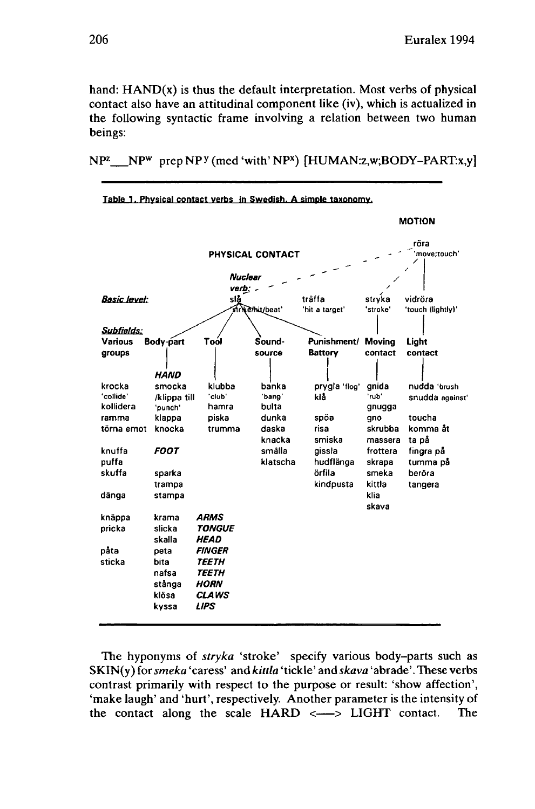hand:  $HAND(x)$  is thus the default interpretation. Most verbs of physical contact also have an attitudinal component like (iv), which is actualized in the following syntactic frame involving a relation between two human beings:

NP<sup>z</sup> \_\_NP<sup>w</sup> prep NP<sup>y</sup> (med 'with' NP<sup>x</sup>) [HUMAN:z,w;BODY-PART:x,y]



**Table 1. Physical contact verbs in Swedish. A simple taxonomy.**

The hyponyms of *stryka* 'stroke' specify various body-parts such as SKIN(y) *torsmeka* 'caress' and *kittla* 'tickle' and *skava* 'abrade'. These verbs contrast primarily with respect to the purpose or result: 'show affection', 'make laugh' and 'hurt', respectively. Another parameter is the intensity of the contact along the scale  $HARD \leq \rightarrow LIGHT$  contact. The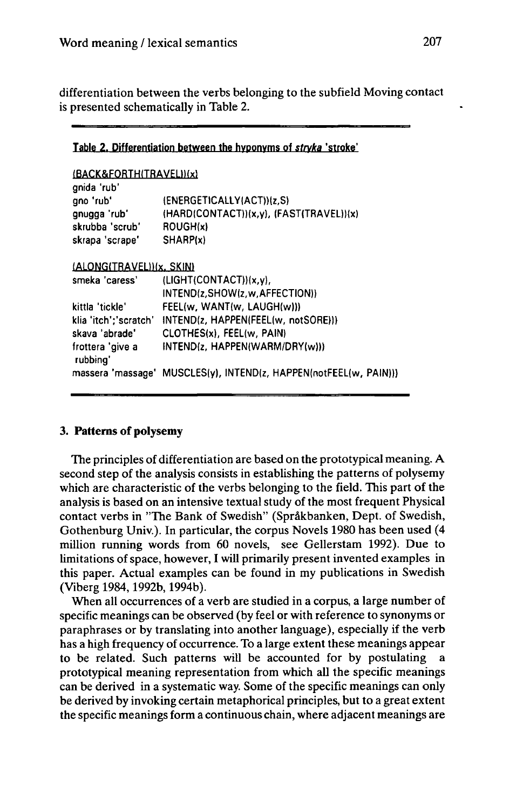differentiation between the verbs belonging to the subfield Moving contact is presented schematically in Table 2.

| Table 2. Differentiation between the hyponyms of stryka 'stroke' |  |  |  |  |  |  |
|------------------------------------------------------------------|--|--|--|--|--|--|
|------------------------------------------------------------------|--|--|--|--|--|--|

| (BACK&FORTH(TRAVEL))(x)<br>anida 'rub' |                                                                   |
|----------------------------------------|-------------------------------------------------------------------|
| qno 'rub'                              | (ENERGETICALLY(ACT))(z,S)                                         |
| qnuqqa 'rub'                           | (HARD(CONTACT))(x,y), (FAST(TRAVEL))(x)                           |
| skrubba 'scrub'                        | ROUGH(x)                                                          |
| skrapa 'scrape'                        | SHARP(x)                                                          |
|                                        |                                                                   |
| (ALONG(TRAVEL))(x, SKIN)               |                                                                   |
| smeka 'caress'                         | (LIGHT(CONTACT)) (x, v),                                          |
|                                        | INTEND(z.SHOW(z.w.AFFECTION))                                     |
| kittla 'tickle'                        | FEEL(w, WANT(w, LAUGH(w)))                                        |
| klia 'itch';'scratch'                  | INTEND(z, HAPPEN(FEEL(w, notSORE)))                               |
| skava 'abrade'                         | CLOTHES(x), FEEL(w, PAIN)                                         |
| frottera 'give a<br>rubbing'           | INTEND(z. HAPPEN(WARM/DRY(w)))                                    |
|                                        | massera 'massage' MUSCLES(y), INTEND(z, HAPPEN(notFEEL(w, PAIN))) |

## **3. Patterns of polysemy**

The principles of differentiation are based on the prototypical meaning. A second step of the analysis consists in establishing the patterns of polysemy which are characteristic of the verbs belonging to the field. This part of the analysis is based on an intensive textual study of the most frequent Physical contact verbs in "The Bank of Swedish" (Sprâkbanken, Dept. of Swedish, Gothenburg Univ.). In particular, the corpus Novels 1980 has been used (4 million running words from 60 novels, see Gellerstam 1992). Due to limitations of space, however, I will primarily present invented examples in this paper. Actual examples can be found in my publications in Swedish (Viberg 1984,1992b, 1994b).

When all occurrences of a verb are studied in a corpus, a large number of specific meanings can be observed (by feel or with reference to synonyms or paraphrases or by translating into another language), especially if the verb has a high frequency of occurrence. To a large extent these meanings appear to be related. Such patterns will be accounted for by postulating a prototypical meaning representation from which all the specific meanings can be derived in a systematic way. Some of the specific meanings can only be derived by invoking certain metaphorical principles, but to a great extent the specific meanings form a continuous chain, where adjacent meanings are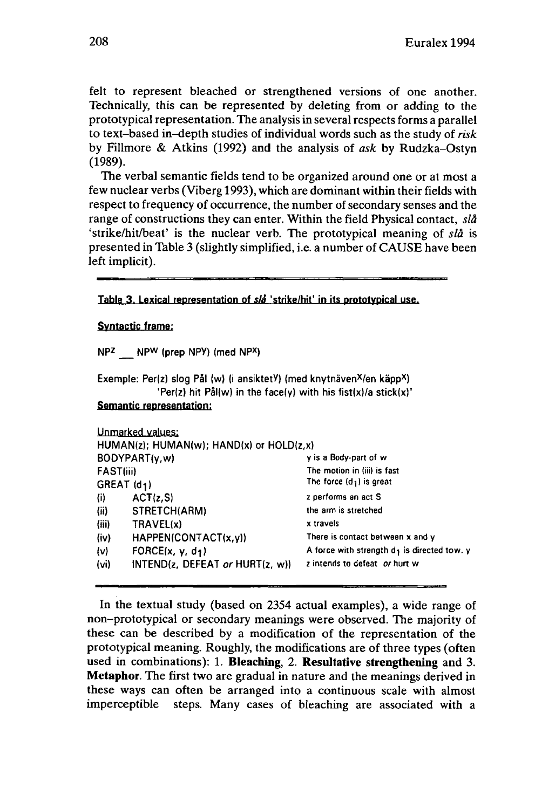felt to represent bleached or strengthened versions of one another. Technically, this can be represented by deleting from or adding to the prototypical representation. The analysis in several respects forms a parallel to text-based in-depth studies of individual words such as the study of *risk* by Fillmore & Atkins (1992) and the analysis of *ask* by Rudzka-Ostyn (1989).

The verbal semantic fields tend to be organized around one or at most a few nuclear verbs (Viberg 1993), which are dominant within their fields with respect to frequency of occurrence, the number of secondary senses and the range of constructions they can enter. Within the field Physical contact, *slâ* 'strike/hit/beat' is the nuclear verb. The prototypical meaning of *slâ* is presented in Table 3 (slightly simplified, i.e. a number of CAUSE have been left implicit).

**Table 3. Lexical representation of slâ 'strike/hif in its prototypical use-**

#### **Syntactic frame:**

**NPZ NP<sup>W</sup> (prep NPY) (med NP<sup>X</sup> )**

|  | Exemple: Per(z) slog Pål (w) (i ansiktetY) (med knytnäven <sup>X</sup> /en käpp <sup>X</sup> ) |  |
|--|------------------------------------------------------------------------------------------------|--|
|  | 'Per(z) hit $P\hat{a}$ ((w) in the face(y) with his fist(x)/a stick(x)'                        |  |
|  |                                                                                                |  |

#### **Semantic representation:**

|                           | Unmarked values:                                   |                                                  |
|---------------------------|----------------------------------------------------|--------------------------------------------------|
|                           | $HUMAN(z)$ ; $HUMAN(w)$ ; $HAND(x)$ or $HOLD(z,x)$ |                                                  |
|                           | BODYPART(y,w)                                      | y is a Body-part of w                            |
| FAST(iii)                 |                                                    | The motion in (iii) is fast                      |
| $GREAT$ (d <sub>1</sub> ) |                                                    | The force $(d_1)$ is great                       |
| (i)                       | ACT(z, S)                                          | z performs an act S                              |
| (ii)                      | STRETCH(ARM)                                       | the arm is stretched                             |
| (iii)                     | TRAVEL(x)                                          | x travels                                        |
| (iv)                      | HAPPEN(CONTACT(x,y))                               | There is contact between x and y                 |
| $\{v\}$                   | FORCE $(x, y, d_1)$                                | A force with strength $d_3$ is directed tow. $y$ |
| (v <sub>i</sub> )         | INTEND( $z$ , DEFEAT or HURT( $z$ , w))            | z intends to defeat or hurt w                    |

In the textual study (based on 2354 actual examples), a wide range of non-prototypical or secondary meanings were observed. The majority of these can be described by a modification of the representation of the prototypical meaning. Roughly, the modifications are of three types (often used in combinations): 1. **Bleaching, 2. Resultative strengthening** and **3. Metaphor.** The first two are gradual in nature and the meanings derived in these ways can often be arranged into a continuous scale with almost imperceptible steps. Many cases of bleaching are associated with a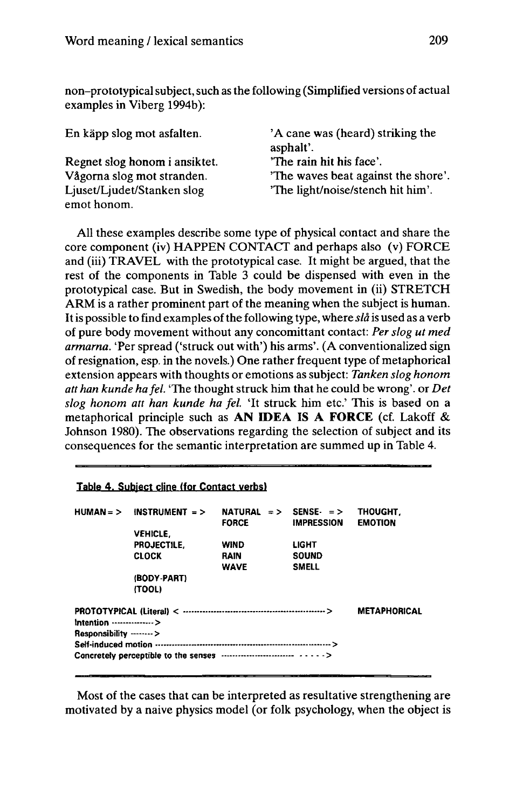non-prototypicalsubject,such as the following (Simplified versions of actual examples in Viberg 1994b):

| En käpp slog mot asfalten.    | 'A cane was (heard) striking the<br>asphalt'. |
|-------------------------------|-----------------------------------------------|
|                               | "The rain hit his face".                      |
| Regnet slog honom i ansiktet. |                                               |
| Vågorna slog mot stranden.    | 'The waves beat against the shore'.           |
| Ljuset/Ljudet/Stanken slog    | 'The light/noise/stench hit him'.             |
| emot honom.                   |                                               |

All these examples describe some type of physical contact and share the core component (iv) HAPPEN CONTACT and perhaps also (v) FORCE and (iii) TRAVEL with the prototypical case. It might be argued, that the rest of the components in Table 3 could be dispensed with even in the prototypical case. But in Swedish, the body movement in (ii) STRETCH ARM is a rather prominent part of the meaning when the subject is human. Itis possible to find examples ofthe following type, where *slâ* is used as a verb of pure body movement without any concomittant contact: *Per slog ut med armarna.* 'Per spread ('struck out with') his arms'. (A conventionalized sign of resignation, esp. in the novels.) One rather frequent type of metaphorical extension appears with thoughts or emotions as subject: *Tanken slog honom att han kunde hafel.* 'The thought struck him that he could be wrong', or *Det slog honom att han kunde ha fel.* 'It struck him etc' This is based on a metaphorical principle such as **AN IDEA IS A FORCE** (cf. Lakoff & Johnson 1980). The observations regarding the selection of subject and its consequences for the semantic interpretation are summed up in Table 4.

## **Table 4. Subject dine (for Contact verbs»**

| $HUMAN = >$                | INSTRUMENT $=$ > | NATURAL $=$ > SENSE $=$ ><br><b>FORCE</b> | <b>IMPRESSION</b> | THOUGHT.<br><b>EMOTION</b> |
|----------------------------|------------------|-------------------------------------------|-------------------|----------------------------|
|                            | <b>VEHICLE.</b>  |                                           |                   |                            |
|                            | PROJECTILE.      | <b>WIND</b>                               | <b>LIGHT</b>      |                            |
|                            | <b>CLOCK</b>     | <b>RAIN</b>                               | <b>SOUND</b>      |                            |
|                            |                  | <b>WAVE</b>                               | <b>SMELL</b>      |                            |
|                            | (BODY-PART)      |                                           |                   |                            |
|                            | (TOOL)           |                                           |                   |                            |
|                            |                  |                                           |                   | <b>METAPHORICAL</b>        |
| intention ---------------> |                  |                                           |                   |                            |
| Responsibility ------->    |                  |                                           |                   |                            |
|                            |                  |                                           |                   |                            |
|                            |                  |                                           |                   |                            |

Most of the cases that can be interpreted as resultative strengthening are motivated by a naive physics model (or folk psychology, when the object is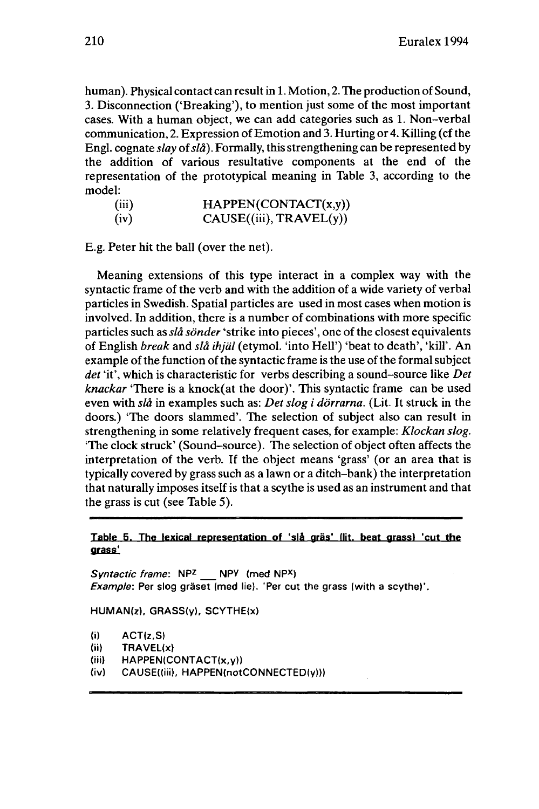human). Physical contact can result in 1. Motion, 2. The production of Sound, 3. Disconnection ('Breaking'), to mention just some of the most important cases. With a human object, we can add categories such as 1. Non-verbal communication, 2. Expression of Emotion and 3. Hurting or 4. Killing (cf the Engl, cognate *slay* of*slâ).* Formally, this strengthening can be represented by the addition of various resultative components at the end of the representation of the prototypical meaning in Table 3, according to the model:

| (iii) | HAPPEN(CONTACT(x,y))   |
|-------|------------------------|
| (iv)  | CAUSE(iii), TRAVEL(y)) |

E.g. Peter hit the ball (over the net).

Meaning extensions of this type interact in a complex way with the syntactic frame of the verb and with the addition of a wide variety of verbal particles in Swedish. Spatial particles are used in most cases when motion is involved. In addition, there is a number of combinations with more specific particles such as *slâ sonder* 'strike into pieces', one of the closest equivalents of English *break* and *slâ ihjäl* (etymol. 'into Hell') 'beat to death', 'kill'. An example of the function of the syntactic frame is the use of the formal subject *det* 'it', which is characteristic for verbs describing a sound-source like *Det knackar* 'There is a knock(at the door)'. This syntactic frame can be used even with *slâ* in examples such as: *Det slog i dörrarna.* (Lit. It struck in the doors.) "The doors slammed'. The selection of subject also can result in strengthening in some relatively frequent cases, for example: *Klockan slog.* 'The clock struck' (Sound-source). The selection of object often affects the interpretation of the verb. If the object means 'grass' (or an area that is typically covered by grass such as a lawn or a ditch-bank) the interpretation that naturally imposes itself is that a scythe is used as an instrument and that the grass is cut (see Table 5).

#### **Table 5. The lexical representation of 'slâ gras' Hit, beat grass» 'cut the grass!**

Syntactic frame: NP<sub>z</sub> NPY (med NP<sup>X</sup>) Example: Per slog gräset (med lie). 'Per cut the grass (with a scythe)'.

HUMAN(z), GRASS(y), SCYTHE(x)

|  | $\bf{5}$ | ACT(z, S) |  |
|--|----------|-----------|--|
|--|----------|-----------|--|

- (ii) TRAVEL(x)
- (iii)  $HAPPEN(CONTACT(x,y))$
- (iv) CAUSE((iii), HAPPEN(notCONNECTED(y)))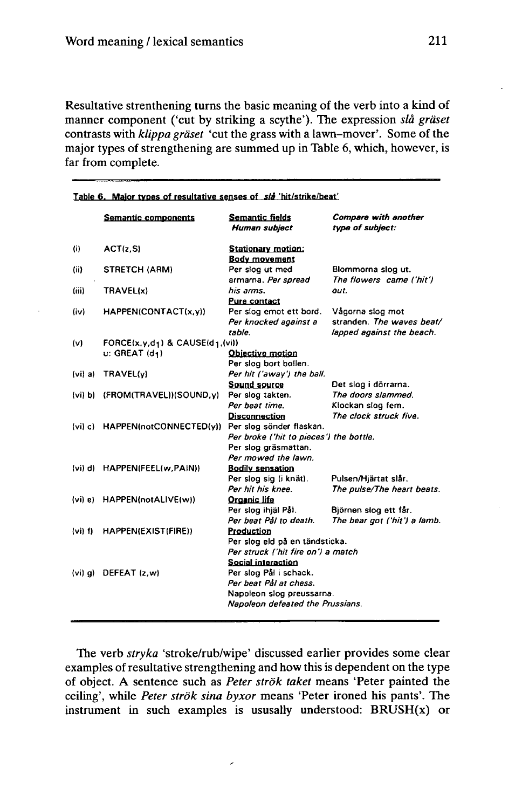Resultative strenthening turns the basic meaning of the verb into a kind of manner component ('cut by striking a scythe'). The expression *slà graset* contrasts with *klippa graset* 'cut the grass with a lawn-mover'. Some of the major types of strengthening are summed up in Table 6, which, however, is far from complete.

|             | Semantic components                    | Semantic fields<br>Human subject                                     | <b>Compare with another</b><br>type of subject: |  |
|-------------|----------------------------------------|----------------------------------------------------------------------|-------------------------------------------------|--|
| (i)         | ACT(z, S)                              | <b>Stationary motion:</b>                                            |                                                 |  |
|             |                                        | <b>Body movement</b>                                                 |                                                 |  |
| (ii)        | <b>STRETCH (ARM)</b>                   | Per slog ut med                                                      | Blommorna slog ut.                              |  |
|             |                                        | armarna. Per spread                                                  | The flowers came ('hit')                        |  |
| (iii)       | TRAVEL(x)                              | his arms.                                                            | out.                                            |  |
|             |                                        | <b>Pure contact</b>                                                  |                                                 |  |
| (iv)        | HAPPEN(CONTACT(x,y))                   | Per slog emot ett bord.                                              | Vågorna slog mot<br>stranden. The waves beat/   |  |
|             |                                        | Per knocked against a<br>table.                                      | lapped against the beach.                       |  |
| (v)         | FORCE $(x,y,d_1)$ & CAUSE $(d_1,(vi))$ |                                                                      |                                                 |  |
|             | $u: GREAT(d_1)$                        | Objective motion                                                     |                                                 |  |
|             |                                        | Per slog bort bollen.                                                |                                                 |  |
| (vi) a      | TRAVEL(y)                              | Per hit ('away') the ball.                                           |                                                 |  |
|             |                                        | Sound source                                                         | Det slog i dörrarna.                            |  |
| (vi) b)     | (FROM(TRAVEL))(SOUND, y)               | Per slog takten.                                                     | The doors slammed.                              |  |
|             |                                        | Per beat time.                                                       | Klockan slog fem.                               |  |
|             |                                        | <b>Disconnection</b>                                                 | The clock struck five.                          |  |
| $(vi)$ $c)$ | HAPPEN(notCONNECTED(y))                | Per slog sönder flaskan.                                             |                                                 |  |
|             |                                        | Per broke ('hit to pieces') the bottle.                              |                                                 |  |
|             |                                        | Per slog gräsmattan.                                                 |                                                 |  |
|             |                                        | Per mowed the lawn.                                                  |                                                 |  |
| (vi) d)     | HAPPEN(FEEL(w,PAIN))                   | <b>Bodily sensation</b>                                              |                                                 |  |
|             |                                        | Per slog sig (i knät).                                               | Pulsen/Hjärtat slår.                            |  |
|             |                                        | Per hit his knee.                                                    | The pulse/The heart beats.                      |  |
| (vi) e)     | HAPPEN(notALIVE(w))                    | Organic life                                                         |                                                 |  |
|             |                                        | Per slog ihjäl Pål.                                                  | Björnen slog ett får.                           |  |
|             |                                        | Per beat Pål to death.                                               | The bear got ('hit') a lamb.                    |  |
| $(v_i)$ f)  | HAPPEN(EXIST(FIRE))                    | Production                                                           |                                                 |  |
|             |                                        | Per slog eld på en tändsticka.<br>Per struck ('hit fire on') a match |                                                 |  |
|             |                                        | Social interaction                                                   |                                                 |  |
| $(vi)$ g)   | DEFEAT (z,w)                           | Per slog Pål i schack.                                               |                                                 |  |
|             |                                        | Per beat Pål at chess.                                               |                                                 |  |
|             |                                        | Napoleon slog preussarna.                                            |                                                 |  |
|             |                                        | Napoleon defeated the Prussians.                                     |                                                 |  |
|             |                                        |                                                                      |                                                 |  |

**Table 6. Maior tvnes of resultative senses of s/à 'hit/strike/beat'**

The verb *stryka* 'stroke/rub/wipe' discussed earlier provides some clear examples of resultative strengthening and how this is dependent on the type of object. A sentence such as *Peter strök taket* means 'Peter painted the ceiling', while *Peter strök sina byxor* means 'Peter ironed his pants'. The instrument in such examples is ususally understood:  $BRUSH(x)$  or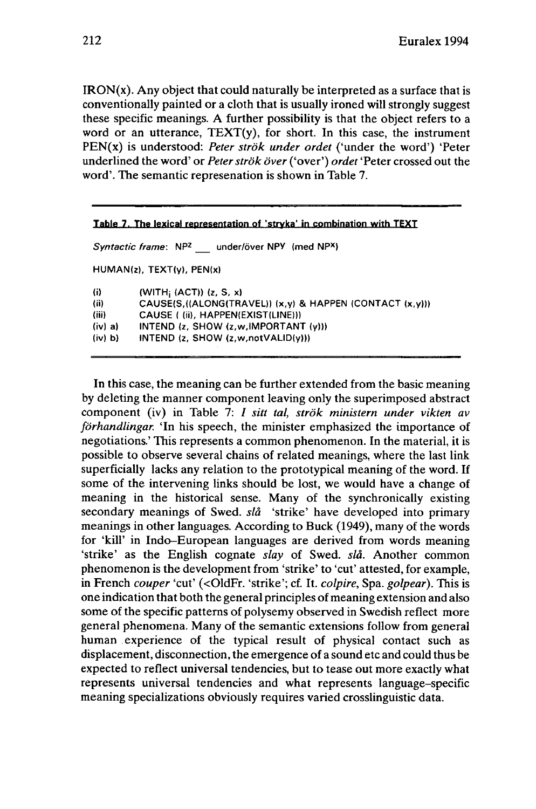$IRON(x)$ . Any object that could naturally be interpreted as a surface that is conventionally painted or a cloth that is usually ironed will strongly suggest these specific meanings. A further possibility is that the object refers to a word or an utterance,  $TEXT(v)$ , for short. In this case, the instrument PEN(x) is understood: *Peter strök under ordet* ('under the word') 'Peter underlined the word' or *Peterströk over* ('over') *ordet* 'Peter crossed out the word'. The semantic represenation is shown in Table 7.

| <b>Table 7. The lexical representation of 'stryka' in combination with TEXT</b> |                                                                        |  |  |  |
|---------------------------------------------------------------------------------|------------------------------------------------------------------------|--|--|--|
|                                                                                 | Syntactic frame: NP <sup>z</sup> under/över NPY (med NP <sup>x</sup> ) |  |  |  |
|                                                                                 | $HUMAN(z)$ , $TEXT(y)$ , $PEN(x)$                                      |  |  |  |
| $\langle i \rangle$                                                             | (VITH <sub>i</sub> (ACT)) (z, S, x)                                    |  |  |  |
| (ii)                                                                            | CAUSE(S,((ALONG(TRAVEL)) (x,y) & HAPPEN (CONTACT (x,y)))               |  |  |  |
| (iii)                                                                           | CAUSE ((ii), HAPPEN(EXIST(LINE)))                                      |  |  |  |
| (iv) a)                                                                         | INTEND (z, SHOW (z,w, IMPORTANT (y)))                                  |  |  |  |
| (iv) b                                                                          | INTEND (z, SHOW (z, w, not VALID(y)))                                  |  |  |  |

In this case, the meaning can be further extended from the basic meaning by deleting the manner component leaving only the superimposed abstract component (iv) in Table 7: / *sitt tal, strök ministem under vikten av förhandlingar.* 'In his speech, the minister emphasized the importance of negotiations.' This represents a common phenomenon. In the material, it is possible to observe several chains of related meanings, where the last link superficially lacks any relation to the prototypical meaning of the word. If some of the intervening links should be lost, we would have a change of meaning in the historical sense. Many of the synchronically existing secondary meanings of Swed. *slâ* 'strike' have developed into primary meanings in other languages. According to Buck (1949), many of the words for 'kill' in Indo-European languages are derived from words meaning 'strike' as the English cognate *slay* of Swed. *slâ.* Another common phenomenon is the development from 'strike' to 'cut' attested, for example, in French *couper* 'cut' (<01dFr. 'strike'; cf. It. *colpire,* Spa. *golpear).* This is one indication that both the general principles of meaning extension and also some of the specific patterns of polysemy observed in Swedish reflect more general phenomena. Many of the semantic extensions follow from general human experience of the typical result of physical contact such as displacement, disconnection, the emergence of a sound etc and could thus be expected to reflect universal tendencies, but to tease out more exactly what represents universal tendencies and what represents language-specific meaning specializations obviously requires varied crosslinguistic data.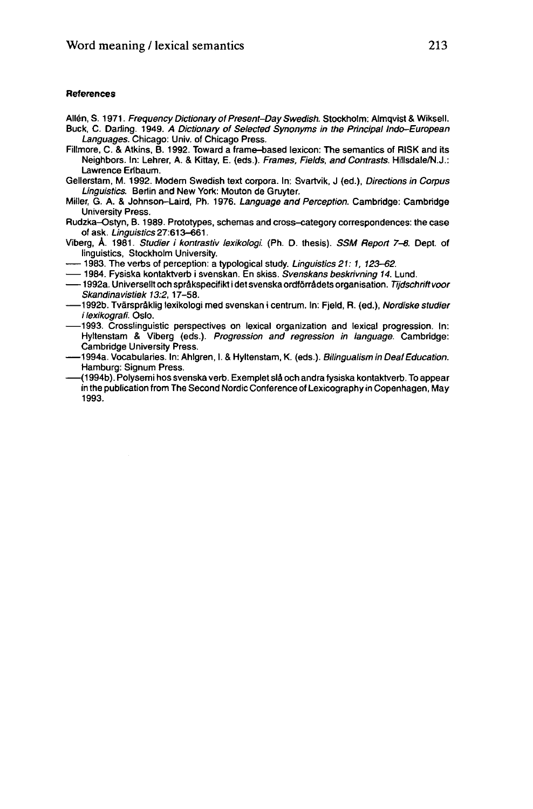#### **References**

- Allén, S. 1971. Frequency Dictionary of Present-Day Swedish. Stockholm: Almqvist & Wiksell. Buck, C. Darling. 1949. A Dictionary of Selected Synonyms in the Principal Indo-European Languages. Chicago: Univ. of Chicago Press.
- Fillmore, C. & Atkins, B. 1992. Toward a frame-based lexicon: The semantics of RISK and its Neighbors. In: Lehrer, A. & Kittay, E. (eds.). Frames, Fields, and Contrasts. Hillsdale/N.J.: Lawrence Eribaum.
- Gellerstam, M. 1992. Modern Swedish text corpora. In: Svartvik, J (ed.), Directions in Corpus Linguistics. Berlin and New York: Mouton de Gruyter.
- Miller, G. A. & Johnson-Laird, Ph. 1976. Language and Perception. Cambridge: Cambridge University Press.
- Rudzka-Ostyn, B. 1989. Prototypes, schémas and cross-category correspondences: the case of ask. Linguistics 27:613-661.
- Viberg, Â. 1981. Studier i kontrastiv lexikologi. (Ph. D. thesis). SSM Report 7-8. Dept. of linguistics, Stockholm University. videly, A. 1981. Studier Frontrastiv TextRologi. (Fri. D. thesis). SSM Report 7-6. I<br>
linguistics, Stockholm University.<br>
— 1983. The verbs of perception: a typological study. Linguistics 21: 1, 123–62.<br>
— 1994. Fysiska ko
- 1983. The verbs of perception: a typological study. Linguistics 21: 1, 123-62.
- 
- —— 1984. Fysiska kontaktverb i svenskan. En skiss. *Svenskans beskrivning 14*. Lund.<br>—— 1992a. Universellt och språkspecifikt i det svenska ordförrådets organisation. *Tijdschrift voor* Skandinavistiek 13:2, 17-58.
- •1992b. Tvârspràklig lexikologi med svenskan <sup>i</sup> centrum. In: Fjeld, R. (ed.), Nordiske studier i lexikografi. Oslo.
- •1993. Crosslinguistic perspectives on lexical organization and lexical progression. In: Hyltenstam & Viberg (eds.). Progression and regression in language. Cambridge:<br>
Hyltenstam & Viberg (eds.). Progression and regression in language. Cambridge:<br>
1994a. Vocabularies. In: Ahlgren, I. & Hyltenstam, K. (eds.). Cambridge University Press.<br>1994a. Vocabularies. In: Ahlgren. I. & Hyltenstam. K. (eds.). Bilingualism in Deaf Education.
- Hamburg: Signum Press.
- •(1994b). Polysemi hos svenska verb. Exemplet slâ och andra fysiska kontaktverb. To appear in the publication from The Second Nordic Conference of Lexicography in Copenhagen, May **1993.**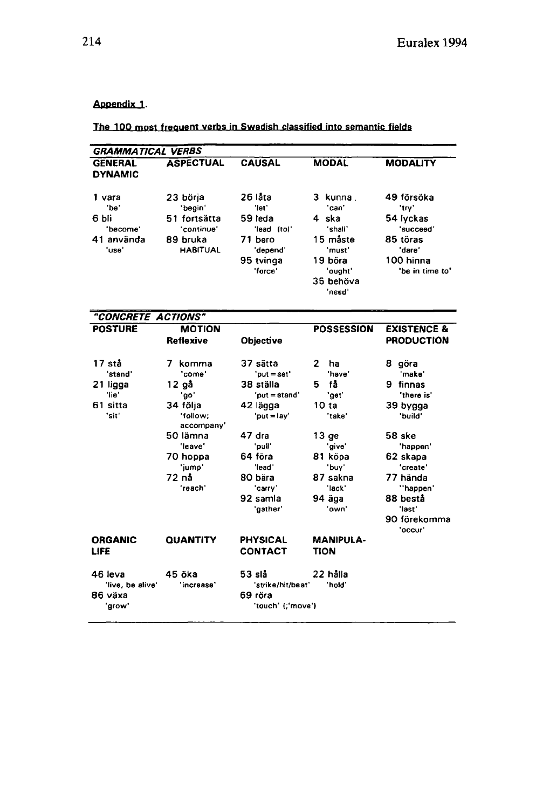# Appendix 1.

**The 100 most frequent verbs in Swedish classified into semantic fields**

| <b>GRAMMATICAL VERBS</b>                                   |                                                                                                                                           |                                                                                                                                                                         |                                                                                                                                              |                                                                                                                                                                                         |
|------------------------------------------------------------|-------------------------------------------------------------------------------------------------------------------------------------------|-------------------------------------------------------------------------------------------------------------------------------------------------------------------------|----------------------------------------------------------------------------------------------------------------------------------------------|-----------------------------------------------------------------------------------------------------------------------------------------------------------------------------------------|
| <b>GENERAL</b><br><b>DYNAMIC</b>                           | <b>ASPECTUAL</b>                                                                                                                          | <b>CAUSAL</b>                                                                                                                                                           | <b>MODAL</b>                                                                                                                                 | <b>MODALITY</b>                                                                                                                                                                         |
| 1 vara<br>'be'<br>6 bli<br>'become'<br>41 använda<br>'use' | 23 börja<br>'begin'<br>51 fortsätta<br>'continue'<br>89 bruka<br><b>HABITUAL</b>                                                          | 26 låta<br>'let'<br>59 leda<br>'lead (to)'<br>71 bero<br>'depend'<br>95 tvinga<br>'force'                                                                               | 3 kunna.<br>'can'<br>4 ska<br>'shall'<br>15 måste<br>'must'<br>19 böra<br>'ought'<br>35 behöva<br>'need'                                     | 49 försöka<br>'try'<br>54 lyckas<br>'succeed'<br>85 töras<br>'dare'<br>100 hinna<br>'be in time to'                                                                                     |
| "CONCRETE ACTIONS"                                         |                                                                                                                                           |                                                                                                                                                                         |                                                                                                                                              |                                                                                                                                                                                         |
| <b>POSTURE</b>                                             | <b>MOTION</b><br>Reflexive                                                                                                                | Objective                                                                                                                                                               | <b>POSSESSION</b>                                                                                                                            | <b>EXISTENCE &amp;</b><br><b>PRODUCTION</b>                                                                                                                                             |
| 17 stå<br>stand'<br>21 ligga<br>'lie'<br>61 sitta<br>'sit' | 7 komma<br>'come'<br>12 gå<br>'go'<br>34 följa<br>'follow;<br>accompany'<br>50 lämna<br>'leave'<br>70 hoppa<br>'iump'<br>72 nå<br>'reach' | 37 sätta<br>'put = set'<br>38 ställa<br>'put = stand'<br>42 lägga<br>'put = lay'<br>47 dra<br>'puil'<br>64 föra<br>'lead'<br>80 bära<br>'carry'<br>92 samla<br>'gather' | 2<br>ha<br>'have'<br>få<br>5.<br>'get'<br>10 ta<br>'take'<br>$13 q$ e<br>'give'<br>81 köpa<br>'buv'<br>87 sakna<br>'lack'<br>94 äga<br>'own' | 8 göra<br>'make'<br>9 finnas<br>'there is'<br>39 bygga<br>'build'<br>58 ske<br>happen'<br>62 skapa<br>'create'<br>77 hända<br>"happen"<br>88 bestå<br>'last'<br>90 förekomma<br>'occur' |
| <b>ORGANIC</b><br><b>LIFE</b>                              | <b>QUANTITY</b>                                                                                                                           | <b>PHYSICAL</b><br><b>CONTACT</b>                                                                                                                                       | <b>MANIPULA-</b><br><b>TION</b>                                                                                                              |                                                                                                                                                                                         |
| 46 leva<br>'live, be alive'<br>86 växa<br>'grow'           | 45 öka<br>'increase'                                                                                                                      | 53 slå<br>'strike/hit/beat'<br>69 röra<br>'touch' (;'move')                                                                                                             | 22 hålla<br>'hold'                                                                                                                           |                                                                                                                                                                                         |